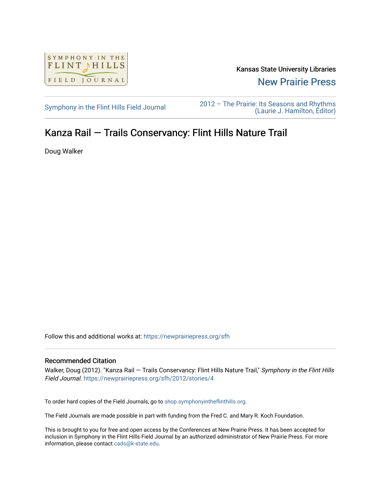

Kansas State University Libraries

[New Prairie Press](https://newprairiepress.org/) 

[Symphony in the Flint Hills Field Journal](https://newprairiepress.org/sfh) 2012 – The Prairie: Its Seasons and Rhythms [\(Laurie J. Hamilton, Editor\)](https://newprairiepress.org/sfh/2012) 

## Kanza Rail — Trails Conservancy: Flint Hills Nature Trail

Doug Walker

Follow this and additional works at: [https://newprairiepress.org/sfh](https://newprairiepress.org/sfh?utm_source=newprairiepress.org%2Fsfh%2F2012%2Fstories%2F4&utm_medium=PDF&utm_campaign=PDFCoverPages)

## Recommended Citation

Walker, Doug (2012). "Kanza Rail - Trails Conservancy: Flint Hills Nature Trail," Symphony in the Flint Hills Field Journal.<https://newprairiepress.org/sfh/2012/stories/4>

To order hard copies of the Field Journals, go to [shop.symphonyintheflinthills.org.](http://shop.symphonyintheflinthills.org/)

The Field Journals are made possible in part with funding from the Fred C. and Mary R. Koch Foundation.

This is brought to you for free and open access by the Conferences at New Prairie Press. It has been accepted for inclusion in Symphony in the Flint Hills Field Journal by an authorized administrator of New Prairie Press. For more information, please contact [cads@k-state.edu](mailto:cads@k-state.edu).